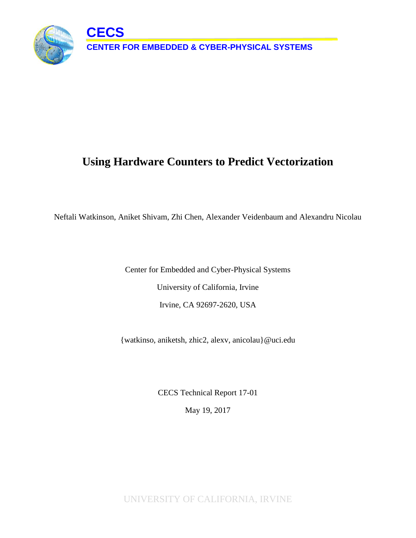

# **Using Hardware Counters to Predict Vectorization**

Neftali Watkinson, Aniket Shivam, Zhi Chen, Alexander Veidenbaum and Alexandru Nicolau

Center for Embedded and Cyber-Physical Systems University of California, Irvine Irvine, CA 92697-2620, USA

{watkinso, aniketsh, zhic2, alexv, anicolau}@uci.edu

CECS Technical Report 17-01 May 19, 2017

UNIVERSITY OF CALIFORNIA, IRVINE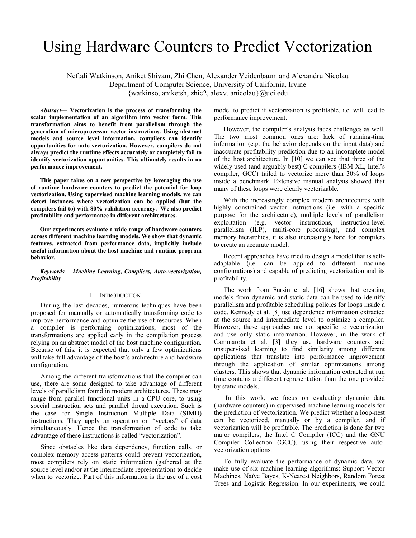# Using Hardware Counters to Predict Vectorization

Neftali Watkinson, Aniket Shivam, Zhi Chen, Alexander Veidenbaum and Alexandru Nicolau Department of Computer Science, University of California, Irvine {watkinso, aniketsh, zhic2, alexv, anicolau}@uci.edu

Abstract— Vectorization is the process of transforming the scalar implementation of an algorithm into vector form. This transformation aims to benefit from parallelism through the generation of microprocessor vector instructions. Using abstract models and source level information, compilers can identify opportunities for auto-vectorization. However, compilers do not always predict the runtime effects accurately or completely fail to identify vectorization opportunities. This ultimately results in no performance improvement.

This paper takes on a new perspective by leveraging the use of runtime hardware counters to predict the potential for loop vectorization. Using supervised machine learning models, we can detect instances where vectorization can be applied (but the compilers fail to) with 80% validation accuracy. We also predict profitability and performance in different architectures.

Our experiments evaluate a wide range of hardware counters across different machine learning models. We show that dynamic features, extracted from performance data, implicitly include useful information about the host machine and runtime program behavior.

Keywords— Machine Learning, Compilers, Auto-vectorization, **Profitability** 

#### I. INTRODUCTION

During the last decades, numerous techniques have been proposed for manually or automatically transforming code to improve performance and optimize the use of resources. When a compiler is performing optimizations, most of the transformations are applied early in the compilation process relying on an abstract model of the host machine configuration. Because of this, it is expected that only a few optimizations will take full advantage of the host's architecture and hardware configuration.

Among the different transformations that the compiler can use, there are some designed to take advantage of different levels of parallelism found in modern architectures. These may range from parallel functional units in a CPU core, to using special instruction sets and parallel thread execution. Such is the case for Single Instruction Multiple Data (SIMD) instructions. They apply an operation on "vectors" of data simultaneously. Hence the transformation of code to take advantage of these instructions is called "vectorization".

Since obstacles like data dependency, function calls, or complex memory access patterns could prevent vectorization, most compilers rely on static information (gathered at the source level and/or at the intermediate representation) to decide when to vectorize. Part of this information is the use of a cost

model to predict if vectorization is profitable, i.e. will lead to performance improvement.

However, the compiler's analysis faces challenges as well. The two most common ones are: lack of running-time information (e.g. the behavior depends on the input data) and inaccurate profitability prediction due to an incomplete model of the host architecture. In [10] we can see that three of the widely used (and arguably best) C compilers (IBM XL, Intel's compiler, GCC) failed to vectorize more than 30% of loops inside a benchmark. Extensive manual analysis showed that many of these loops were clearly vectorizable.

With the increasingly complex modern architectures with highly constrained vector instructions (i.e. with a specific purpose for the architecture), multiple levels of parallelism exploitation (e.g. vector instructions, instruction-level parallelism (ILP), multi-core processing), and complex memory hierarchies, it is also increasingly hard for compilers to create an accurate model.

Recent approaches have tried to design a model that is selfadaptable (i.e. can be applied to different machine configurations) and capable of predicting vectorization and its profitability.

The work from Fursin et al. [16] shows that creating models from dynamic and static data can be used to identify parallelism and profitable scheduling policies for loops inside a code. Kennedy et al. [8] use dependence information extracted at the source and intermediate level to optimize a compiler. However, these approaches are not specific to vectorization and use only static information. However, in the work of Cammarota et al. [3] they use hardware counters and unsupervised learning to find similarity among different applications that translate into performance improvement through the application of similar optimizations among clusters. This shows that dynamic information extracted at run time contains a different representation than the one provided by static models.

 In this work, we focus on evaluating dynamic data (hardware counters) in supervised machine learning models for the prediction of vectorization. We predict whether a loop-nest can be vectorized, manually or by a compiler, and if vectorization will be profitable. The prediction is done for two major compilers, the Intel C Compiler (ICC) and the GNU Compiler Collection (GCC), using their respective autovectorization options.

To fully evaluate the performance of dynamic data, we make use of six machine learning algorithms: Support Vector Machines, Naïve Bayes, K-Nearest Neighbors, Random Forest Trees and Logistic Regression. In our experiments, we could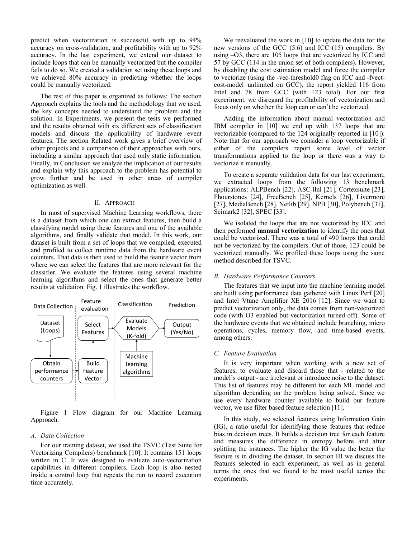predict when vectorization is successful with up to 94% accuracy on cross-validation, and profitability with up to 92% accuracy. In the last experiment, we extend our dataset to include loops that can be manually vectorized but the compiler fails to do so. We created a validation set using these loops and we achieved 80% accuracy in predicting whether the loops could be manually vectorized.

The rest of this paper is organized as follows: The section Approach explains the tools and the methodology that we used, the key concepts needed to understand the problem and the solution. In Experiments, we present the tests we performed and the results obtained with six different sets of classification models and discuss the applicability of hardware event features. The section Related work gives a brief overview of other projects and a comparison of their approaches with ours, including a similar approach that used only static information. Finally, in Conclusion we analyze the implication of our results and explain why this approach to the problem has potential to grow further and be used in other areas of compiler optimization as well.

#### II. APPROACH

In most of supervised Machine Learning workflows, there is a dataset from which one can extract features, then build a classifying model using these features and one of the available algorithms, and finally validate that model. In this work, our dataset is built from a set of loops that we compiled, executed and profiled to collect runtime data from the hardware event counters. That data is then used to build the feature vector from where we can select the features that are more relevant for the classifier. We evaluate the features using several machine learning algorithms and select the ones that generate better results at validation. Fig. 1 illustrates the workflow.



Figure 1 Flow diagram for our Machine Learning Approach.

#### A. Data Collection

For our training dataset, we used the TSVC (Test Suite for Vectorizing Compilers) benchmark [10]. It contains 151 loops written in C. It was designed to evaluate auto-vectorization capabilities in different compilers. Each loop is also nested inside a control loop that repeats the run to record execution time accurately.

We reevaluated the work in [10] to update the data for the new versions of the GCC (5.6) and ICC (15) compilers. By using –O3, there are 105 loops that are vectorized by ICC and 57 by GCC (114 in the union set of both compilers). However, by disabling the cost estimation model and force the compiler to vectorize (using the -vec-threshold0 flag on ICC and -fvectcost-model=unlimited on GCC), the report yielded 116 from Intel and 78 from GCC (with 123 total). For our first experiment, we disregard the profitability of vectorization and focus only on whether the loop can or can't be vectorized.

Adding the information about manual vectorization and IBM compiler in [10] we end up with 137 loops that are vectorizable (compared to the 124 originally reported in [10]). Note that for our approach we consider a loop vectorizable if either of the compilers report some level of vector transformations applied to the loop or there was a way to vectorize it manually.

To create a separate validation data for our last experiment, we extracted loops from the following 13 benchmark applications: ALPBench [22], ASC-llnl [21], Cortexsuite [23], Fhourstones [24], FreeBench [25], Kernels [26], Livermore [27], MediaBench [28], Netlib [29], NPB [30], Polybench [31], Scimark2 [32], SPEC [33].

We isolated the loops that are not vectorized by ICC and then performed manual vectorization to identify the ones that could be vectorized. There was a total of 490 loops that could not be vectorized by the compilers. Out of those, 123 could be vectorized manually. We profiled these loops using the same method described for TSVC.

#### B. Hardware Performance Counters

The features that we input into the machine learning model are built using performance data gathered with Linux Perf [20] and Intel Vtune Amplifier XE 2016 [12]. Since we want to predict vectorization only, the data comes from non-vectorized code (with O3 enabled but vectorization turned off). Some of the hardware events that we obtained include branching, micro operations, cycles, memory flow, and time-based events, among others.

#### C. Feature Evaluation

It is very important when working with a new set of features, to evaluate and discard those that - related to the model's output - are irrelevant or introduce noise to the dataset. This list of features may be different for each ML model and algorithm depending on the problem being solved. Since we use every hardware counter available to build our feature vector, we use filter based feature selection [11].

In this study, we selected features using Information Gain (IG), a ratio useful for identifying those features that reduce bias in decision trees. It builds a decision tree for each feature and measures the difference in entropy before and after splitting the instances. The higher the IG value the better the feature is in dividing the dataset. In section III we discuss the features selected in each experiment, as well as in general terms the ones that we found to be most useful across the experiments.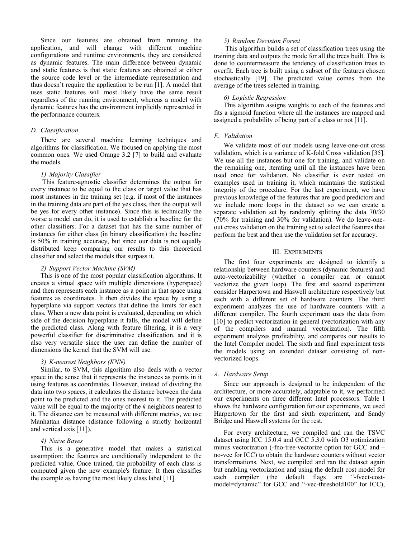Since our features are obtained from running the application, and will change with different machine configurations and runtime environments, they are considered as dynamic features. The main difference between dynamic and static features is that static features are obtained at either the source code level or the intermediate representation and thus doesn't require the application to be run [1]. A model that uses static features will most likely have the same result regardless of the running environment, whereas a model with dynamic features has the environment implicitly represented in the performance counters.

#### D. Classification

There are several machine learning techniques and algorithms for classification. We focused on applying the most common ones. We used Orange 3.2 [7] to build and evaluate the models.

#### 1) Majority Classifier

 This feature-agnostic classifier determines the output for every instance to be equal to the class or target value that has most instances in the training set (e.g. if most of the instances in the training data are part of the yes class, then the output will be yes for every other instance). Since this is technically the worse a model can do, it is used to establish a baseline for the other classifiers. For a dataset that has the same number of instances for either class (in binary classification) the baseline is 50% in training accuracy, but since our data is not equally distributed keep comparing our results to this theoretical classifier and select the models that surpass it.

#### 2) Support Vector Machine (SVM)

This is one of the most popular classification algorithms. It creates a virtual space with multiple dimensions (hyperspace) and then represents each instance as a point in that space using features as coordinates. It then divides the space by using a hyperplane via support vectors that define the limits for each class. When a new data point is evaluated, depending on which side of the decision hyperplane it falls, the model will define the predicted class. Along with feature filtering, it is a very powerful classifier for discriminative classification, and it is also very versatile since the user can define the number of dimensions the kernel that the SVM will use.

#### 3) K-nearest Neighbors (KNN)

Similar, to SVM, this algorithm also deals with a vector space in the sense that it represents the instances as points in it using features as coordinates. However, instead of dividing the data into two spaces, it calculates the distance between the data point to be predicted and the ones nearest to it. The predicted value will be equal to the majority of the  $k$  neighbors nearest to it. The distance can be measured with different metrics, we use Manhattan distance (distance following a strictly horizontal and vertical axis [11]).

#### 4) Naïve Bayes

This is a generative model that makes a statistical assumption: the features are conditionally independent to the predicted value. Once trained, the probability of each class is computed given the new example's feature. It then classifies the example as having the most likely class label [11].

## 5) Random Decision Forest

 This algorithm builds a set of classification trees using the training data and outputs the mode for all the trees built. This is done to countermeasure the tendency of classification trees to overfit. Each tree is built using a subset of the features chosen stochastically [19]. The predicted value comes from the average of the trees selected in training.

# 6) Logistic Regression

This algorithm assigns weights to each of the features and fits a sigmoid function where all the instances are mapped and assigned a probability of being part of a class or not [11].

#### E. Validation

We validate most of our models using leave-one-out cross validation, which is a variance of K-fold Cross validation [35]. We use all the instances but one for training, and validate on the remaining one, iterating until all the instances have been used once for validation. No classifier is ever tested on examples used in training it, which maintains the statistical integrity of the procedure. For the last experiment, we have previous knowledge of the features that are good predictors and we include more loops in the dataset so we can create a separate validation set by randomly splitting the data 70/30 (70% for training and 30% for validation). We do leave-oneout cross validation on the training set to select the features that perform the best and then use the validation set for accuracy.

#### III. EXPERIMENTS

The first four experiments are designed to identify a relationship between hardware counters (dynamic features) and auto-vectorizability (whether a compiler can or cannot vectorize the given loop). The first and second experiment consider Harpertown and Haswell architecture respectively but each with a different set of hardware counters. The third experiment analyzes the use of hardware counters with a different compiler. The fourth experiment uses the data from [10] to predict vectorization in general (vectorization with any of the compilers and manual vectorization). The fifth experiment analyzes profitability, and compares our results to the Intel Compiler model. The sixth and final experiment tests the models using an extended dataset consisting of nonvectorized loops.

#### A. Hardware Setup

Since our approach is designed to be independent of the architecture, or more accurately, adaptable to it, we performed our experiments on three different Intel processors. Table I shows the hardware configuration for our experiments, we used Harpertown for the first and sixth experiment, and Sandy Bridge and Haswell systems for the rest.

For every architecture, we compiled and ran the TSVC dataset using ICC 15.0.4 and GCC 5.3.0 with O3 optimization minus vectorization (-fno-tree-vectorize option for GCC and – no-vec for ICC) to obtain the hardware counters without vector transformations. Next, we compiled and ran the dataset again but enabling vectorization and using the default cost model for each compiler (the default flags are "-fvect-costmodel=dynamic" for GCC and "-vec-threshold100" for ICC),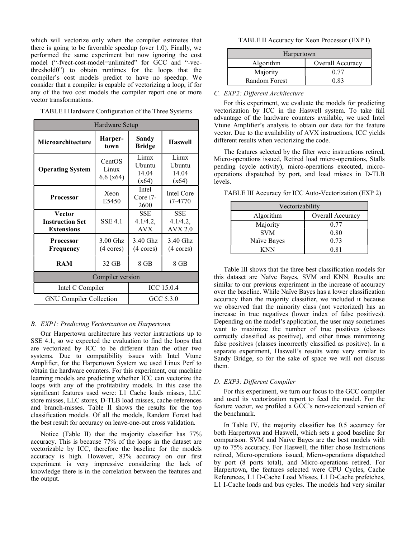which will vectorize only when the compiler estimates that there is going to be favorable speedup (over 1.0). Finally, we performed the same experiment but now ignoring the cost model ("-fvect-cost-model=unlimited" for GCC and "-vecthreshold0") to obtain runtimes for the loops that the compiler's cost models predict to have no speedup. We consider that a compiler is capable of vectorizing a loop, if for any of the two cost models the compiler report one or more vector transformations.

TABLE I Hardware Configuration of the Three Systems

| Hardware Setup                                               |                                 |                                      |                                          |  |
|--------------------------------------------------------------|---------------------------------|--------------------------------------|------------------------------------------|--|
| <b>Microarchitecture</b>                                     | Harper-<br>town                 | Sandy<br><b>Bridge</b>               | <b>Haswell</b>                           |  |
| <b>Operating System</b>                                      | CentOS<br>Linux<br>6.6(x64)     | Linux<br>Ubuntu<br>14.04<br>(x64)    | Linux<br>Ubuntu<br>14.04<br>(x64)        |  |
| <b>Processor</b>                                             | Xeon<br>E5450                   | Intel<br>Core i7-<br>2600            | Intel Core<br>i7-4770                    |  |
| <b>Vector</b><br><b>Instruction Set</b><br><b>Extensions</b> | <b>SSE 4.1</b>                  | <b>SSE</b><br>4.1/4.2,<br><b>AVX</b> | <b>SSE</b><br>4.1/4.2,<br><b>AVX 2.0</b> |  |
| <b>Processor</b><br>Frequency                                | 3.00 Ghz<br>$(4 \text{ cores})$ | 3.40 Ghz<br>$(4 \text{ cores})$      | 3.40 Ghz<br>$(4 \text{ cores})$          |  |
| <b>RAM</b>                                                   | 32 GB                           | 8 GB                                 | 8 GB                                     |  |
| Compiler version                                             |                                 |                                      |                                          |  |
| Intel C Compiler                                             |                                 | <b>ICC 15.0.4</b>                    |                                          |  |
| <b>GNU</b> Compiler Collection                               |                                 | GCC 5.3.0                            |                                          |  |

#### B. EXP1: Predicting Vectorization on Harpertown

Our Harpertown architecture has vector instructions up to SSE 4.1, so we expected the evaluation to find the loops that are vectorized by ICC to be different than the other two systems. Due to compatibility issues with Intel Vtune Amplifier, for the Harpertown System we used Linux Perf to obtain the hardware counters. For this experiment, our machine learning models are predicting whether ICC can vectorize the loops with any of the profitability models. In this case the significant features used were: L1 Cache loads misses, LLC store misses, LLC stores, D-TLB load misses, cache-references and branch-misses. Table II shows the results for the top classification models. Of all the models, Random Forest had the best result for accuracy on leave-one-out cross validation.

Notice (Table II) that the majority classifier has 77% accuracy. This is because 77% of the loops in the dataset are vectorizable by ICC, therefore the baseline for the models accuracy is high. However, 83% accuracy on our first experiment is very impressive considering the lack of knowledge there is in the correlation between the features and the output.

TABLE II Accuracy for Xeon Processor (EXP I)

| Harpertown    |                  |  |  |
|---------------|------------------|--|--|
| Algorithm     | Overall Accuracy |  |  |
| Majority      | 0.77             |  |  |
| Random Forest | በ ጸ3             |  |  |

# C. EXP2: Different Architecture

For this experiment, we evaluate the models for predicting vectorization by ICC in the Haswell system. To take full advantage of the hardware counters available, we used Intel Vtune Amplifier's analysis to obtain our data for the feature vector. Due to the availability of AVX instructions, ICC yields different results when vectorizing the code.

The features selected by the filter were instructions retired, Micro-operations issued, Retired load micro-operations, Stalls pending (cycle activity), micro-operations executed, microoperations dispatched by port, and load misses in D-TLB levels.

TABLE III Accuracy for ICC Auto-Vectorization (EXP 2)

| Vectorizability |                  |  |
|-----------------|------------------|--|
| Algorithm       | Overall Accuracy |  |
| Majority        | 0.77             |  |
| <b>SVM</b>      | 0.80             |  |
| Naïve Bayes     | 0.73             |  |
| KNN             | 0 81             |  |

Table III shows that the three best classification models for this dataset are Naïve Bayes, SVM and KNN. Results are similar to our previous experiment in the increase of accuracy over the baseline. While Naïve Bayes has a lower classification accuracy than the majority classifier, we included it because we observed that the minority class (not vectorized) has an increase in true negatives (lower index of false positives). Depending on the model's application, the user may sometimes want to maximize the number of true positives (classes correctly classified as positive), and other times minimizing false positives (classes incorrectly classified as positive). In a separate experiment, Haswell's results were very similar to Sandy Bridge, so for the sake of space we will not discuss them.

# D. EXP3: Different Compiler

For this experiment, we turn our focus to the GCC compiler and used its vectorization report to feed the model. For the feature vector, we profiled a GCC's non-vectorized version of the benchmark.

In Table IV, the majority classifier has 0.5 accuracy for both Harpertown and Haswell, which sets a good baseline for comparison. SVM and Naïve Bayes are the best models with up to 75% accuracy. For Haswell, the filter chose Instructions retired, Micro-operations issued, Micro-operations dispatched by port (8 ports total), and Micro-operations retired. For Harpertown, the features selected were CPU Cycles, Cache References, L1 D-Cache Load Misses, L1 D-Cache prefetches, L1 I-Cache loads and bus cycles. The models had very similar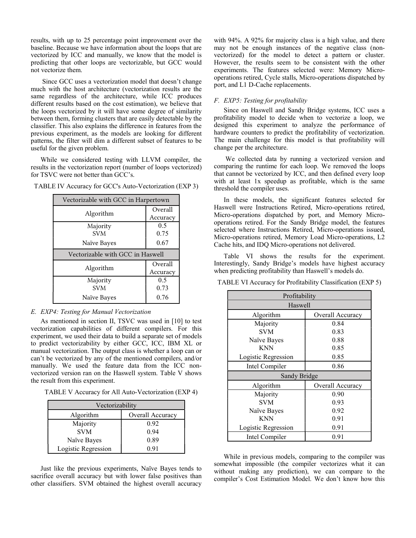results, with up to 25 percentage point improvement over the baseline. Because we have information about the loops that are vectorized by ICC and manually, we know that the model is predicting that other loops are vectorizable, but GCC would not vectorize them.

 Since GCC uses a vectorization model that doesn't change much with the host architecture (vectorization results are the same regardless of the architecture, while ICC produces different results based on the cost estimation), we believe that the loops vectorized by it will have some degree of similarity between them, forming clusters that are easily detectable by the classifier. This also explains the difference in features from the previous experiment, as the models are looking for different patterns, the filter will dim a different subset of features to be useful for the given problem.

While we considered testing with LLVM compiler, the results in the vectorization report (number of loops vectorized) for TSVC were not better than GCC's.

| Vectorizable with GCC in Harpertown |          |  |  |
|-------------------------------------|----------|--|--|
| Algorithm                           | Overall  |  |  |
|                                     | Accuracy |  |  |
| Majority                            | 0.5      |  |  |
| <b>SVM</b>                          | 0.75     |  |  |
| Naïve Bayes                         | 0.67     |  |  |
| Vectorizable with GCC in Haswell    |          |  |  |
| Algorithm                           | Overall  |  |  |
|                                     | Accuracy |  |  |
| Majority                            | 0.5      |  |  |
| <b>SVM</b>                          | 0.73     |  |  |
| Naïve Bayes                         | 0.76     |  |  |

TABLE IV Accuracy for GCC's Auto-Vectorization (EXP 3)

# E. EXP4: Testing for Manual Vectorization

As mentioned in section II, TSVC was used in [10] to test vectorization capabilities of different compilers. For this experiment, we used their data to build a separate set of models to predict vectorizability by either GCC, ICC, IBM XL or manual vectorization. The output class is whether a loop can or can't be vectorized by any of the mentioned compilers, and/or manually. We used the feature data from the ICC nonvectorized version ran on the Haswell system. Table V shows the result from this experiment.

TABLE V Accuracy for All Auto-Vectorization (EXP 4)

| Vectorizability     |                  |  |  |
|---------------------|------------------|--|--|
| Algorithm           | Overall Accuracy |  |  |
| Majority            | 0.92             |  |  |
| <b>SVM</b>          | 0.94             |  |  |
| Naïve Bayes         | 0.89             |  |  |
| Logistic Regression | 0.91             |  |  |

Just like the previous experiments, Naïve Bayes tends to sacrifice overall accuracy but with lower false positives than other classifiers. SVM obtained the highest overall accuracy with 94%. A 92% for majority class is a high value, and there may not be enough instances of the negative class (nonvectorized) for the model to detect a pattern or cluster. However, the results seem to be consistent with the other experiments. The features selected were: Memory Microoperations retired, Cycle stalls, Micro-operations dispatched by port, and L1 D-Cache replacements.

#### F. EXP5: Testing for profitability

Since on Haswell and Sandy Bridge systems, ICC uses a profitability model to decide when to vectorize a loop, we designed this experiment to analyze the performance of hardware counters to predict the profitability of vectorization. The main challenge for this model is that profitability will change per the architecture.

 We collected data by running a vectorized version and comparing the runtime for each loop. We removed the loops that cannot be vectorized by ICC, and then defined every loop with at least 1x speedup as profitable, which is the same threshold the compiler uses.

In these models, the significant features selected for Haswell were Instructions Retired, Micro-operations retired, Micro-operations dispatched by port, and Memory Microoperations retired. For the Sandy Bridge model, the features selected where Instructions Retired, Micro-operations issued, Micro-operations retired, Memory Load Micro-operations, L2 Cache hits, and IDQ Micro-operations not delivered.

Table VI shows the results for the experiment. Interestingly, Sandy Bridge's models have highest accuracy when predicting profitability than Haswell's models do.

TABLE VI Accuracy for Profitability Classification (EXP 5)

| Profitability       |                  |  |  |
|---------------------|------------------|--|--|
| Haswell             |                  |  |  |
| Algorithm           | Overall Accuracy |  |  |
| Majority            | 0.84             |  |  |
| <b>SVM</b>          | 0.83             |  |  |
| Naïve Bayes         | 0.88             |  |  |
| <b>KNN</b>          | 0.85             |  |  |
| Logistic Regression | 0.85             |  |  |
| Intel Compiler      | 0.86             |  |  |
| Sandy Bridge        |                  |  |  |
| Algorithm           | Overall Accuracy |  |  |
| Majority            | 0.90             |  |  |
| <b>SVM</b>          | 0.93             |  |  |
| Naïve Bayes         | 0.92             |  |  |
| <b>KNN</b>          | 0.91             |  |  |
| Logistic Regression | 0.91             |  |  |
| Intel Compiler      | 0.91             |  |  |

While in previous models, comparing to the compiler was somewhat impossible (the compiler vectorizes what it can without making any prediction), we can compare to the compiler's Cost Estimation Model. We don't know how this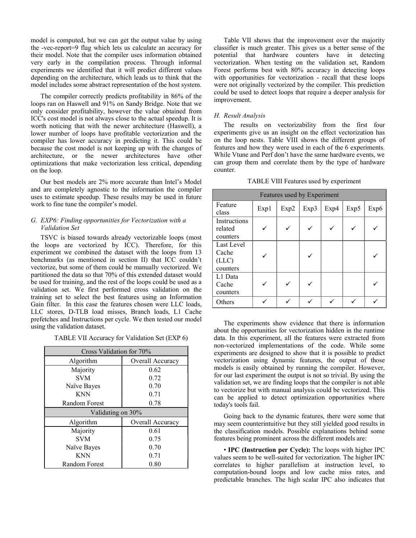model is computed, but we can get the output value by using the -vec-report=9 flag which lets us calculate an accuracy for their model. Note that the compiler uses information obtained very early in the compilation process. Through informal experiments we identified that it will predict different values depending on the architecture, which leads us to think that the model includes some abstract representation of the host system.

The compiler correctly predicts profitability in 86% of the loops ran on Haswell and 91% on Sandy Bridge. Note that we only consider profitability, however the value obtained from ICC's cost model is not always close to the actual speedup. It is worth noticing that with the newer architecture (Haswell), a lower number of loops have profitable vectorization and the compiler has lower accuracy in predicting it. This could be because the cost model is not keeping up with the changes of architecture, or the newer architectures have other optimizations that make vectorization less critical, depending on the loop.

Our best models are 2% more accurate than Intel's Model and are completely agnostic to the information the compiler uses to estimate speedup. These results may be used in future work to fine tune the compiler's model.

# G. EXP6: Finding opportunities for Vectorization with a Validation Set

TSVC is biased towards already vectorizable loops (most the loops are vectorized by ICC). Therefore, for this experiment we combined the dataset with the loops from 13 benchmarks (as mentioned in section II) that ICC couldn't vectorize, but some of them could be manually vectorized. We partitioned the data so that 70% of this extended dataset would be used for training, and the rest of the loops could be used as a validation set. We first performed cross validation on the training set to select the best features using an Information Gain filter. In this case the features chosen were LLC loads, LLC stores, D-TLB load misses, Branch loads, L1 Cache prefetches and Instructions per cycle. We then tested our model using the validation dataset.

| Cross Validation for 70% |                  |  |  |
|--------------------------|------------------|--|--|
| Algorithm                | Overall Accuracy |  |  |
| Majority                 | 0.62             |  |  |
| <b>SVM</b>               | 0.72             |  |  |
| Naïve Bayes              | 0.70             |  |  |
| <b>KNN</b>               | 0.71             |  |  |
| Random Forest            | 0.78             |  |  |
| Validating on 30%        |                  |  |  |
| Algorithm                | Overall Accuracy |  |  |
| Majority                 | 0.61             |  |  |
| <b>SVM</b>               | 0.75             |  |  |
| Naïve Bayes              | 0.70             |  |  |
| <b>KNN</b>               | 0.71             |  |  |
| Random Forest            | 0.80             |  |  |

Table VII shows that the improvement over the majority classifier is much greater. This gives us a better sense of the potential that hardware counters have in detecting vectorization. When testing on the validation set, Random Forest performs best with 80% accuracy in detecting loops with opportunities for vectorization - recall that these loops were not originally vectorized by the compiler. This prediction could be used to detect loops that require a deeper analysis for improvement.

#### H. Result Analysis

The results on vectorizability from the first four experiments give us an insight on the effect vectorization has on the loop nests. Table VIII shows the different groups of features and how they were used in each of the 6 experiments. While Vtune and Perf don't have the same hardware events, we can group them and correlate them by the type of hardware counter.

TABLE VIII Features used by experiment

| Features used by Experiment                |      |      |      |      |      |      |
|--------------------------------------------|------|------|------|------|------|------|
| Feature<br>class                           | Exp1 | Exp2 | Exp3 | Exp4 | Exp5 | Exp6 |
| <b>Instructions</b><br>related<br>counters |      |      |      |      |      |      |
| Last Level<br>Cache<br>(LLC)<br>counters   |      |      |      |      |      |      |
| L1 Data<br>Cache<br>counters               |      |      |      |      |      |      |
| Others                                     |      |      |      |      |      |      |

The experiments show evidence that there is information about the opportunities for vectorization hidden in the runtime data. In this experiment, all the features were extracted from non-vectorized implementations of the code. While some experiments are designed to show that it is possible to predict vectorization using dynamic features, the output of those models is easily obtained by running the compiler. However, for our last experiment the output is not so trivial. By using the validation set, we are finding loops that the compiler is not able to vectorize but with manual analysis could be vectorized. This can be applied to detect optimization opportunities where today's tools fail.

Going back to the dynamic features, there were some that may seem counterintuitive but they still yielded good results in the classification models. Possible explanations behind some features being prominent across the different models are:

• **IPC** (Instruction per Cycle): The loops with higher IPC values seem to be well-suited for vectorization. The higher IPC correlates to higher parallelism at instruction level, to computation-bound loops and low cache miss rates, and predictable branches. The high scalar IPC also indicates that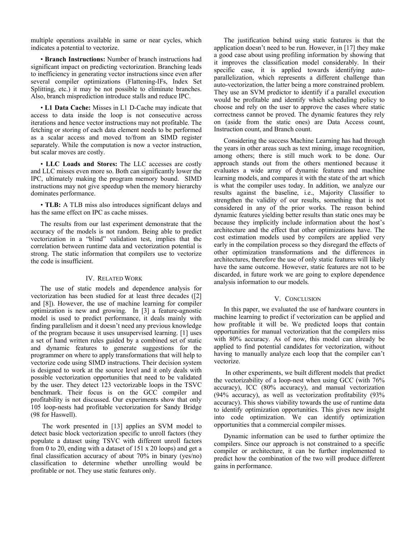multiple operations available in same or near cycles, which indicates a potential to vectorize.

• Branch Instructions: Number of branch instructions had significant impact on predicting vectorization. Branching leads to inefficiency in generating vector instructions since even after several compiler optimizations (Flattening-IFs, Index Set Splitting, etc.) it may be not possible to eliminate branches. Also, branch misprediction introduce stalls and reduce IPC.

• L1 Data Cache: Misses in L1 D-Cache may indicate that access to data inside the loop is not consecutive across iterations and hence vector instructions may not profitable. The fetching or storing of each data element needs to be performed as a scalar access and moved to/from an SIMD register separately. While the computation is now a vector instruction, but scalar moves are costly.

• LLC Loads and Stores: The LLC accesses are costly and LLC misses even more so. Both can significantly lower the IPC, ultimately making the program memory bound. SIMD instructions may not give speedup when the memory hierarchy dominates performance.

• TLB: A TLB miss also introduces significant delays and has the same effect on IPC as cache misses.

The results from our last experiment demonstrate that the accuracy of the models is not random. Being able to predict vectorization in a "blind" validation test, implies that the correlation between runtime data and vectorization potential is strong. The static information that compilers use to vectorize the code is insufficient.

#### IV. RELATED WORK

The use of static models and dependence analysis for vectorization has been studied for at least three decades ([2] and [8]). However, the use of machine learning for compiler optimization is new and growing. In [3] a feature-agnostic model is used to predict performance, it deals mainly with finding parallelism and it doesn't need any previous knowledge of the program because it uses unsupervised learning. [1] uses a set of hand written rules guided by a combined set of static and dynamic features to generate suggestions for the programmer on where to apply transformations that will help to vectorize code using SIMD instructions. Their decision system is designed to work at the source level and it only deals with possible vectorization opportunities that need to be validated by the user. They detect 123 vectorizable loops in the TSVC benchmark. Their focus is on the GCC compiler and profitability is not discussed. Our experiments show that only 105 loop-nests had profitable vectorization for Sandy Bridge (98 for Haswell).

 The work presented in [13] applies an SVM model to detect basic block vectorization specific to unroll factors (they populate a dataset using TSVC with different unroll factors from 0 to 20, ending with a dataset of 151 x 20 loops) and get a final classification accuracy of about 70% in binary (yes/no) classification to determine whether unrolling would be profitable or not. They use static features only.

The justification behind using static features is that the application doesn't need to be run. However, in [17] they make a good case about using profiling information by showing that it improves the classification model considerably. In their specific case, it is applied towards identifying autoparallelization, which represents a different challenge than auto-vectorization, the latter being a more constrained problem. They use an SVM predictor to identify if a parallel execution would be profitable and identify which scheduling policy to choose and rely on the user to approve the cases where static correctness cannot be proved. The dynamic features they rely on (aside from the static ones) are Data Access count, Instruction count, and Branch count.

Considering the success Machine Learning has had through the years in other areas such as text mining, image recognition, among others; there is still much work to be done. Our approach stands out from the others mentioned because it evaluates a wide array of dynamic features and machine learning models, and compares it with the state of the art which is what the compiler uses today. In addition, we analyze our results against the baseline, i.e., Majority Classifier to strengthen the validity of our results, something that is not considered in any of the prior works. The reason behind dynamic features yielding better results than static ones may be because they implicitly include information about the host's architecture and the effect that other optimizations have. The cost estimation models used by compilers are applied very early in the compilation process so they disregard the effects of other optimization transformations and the differences in architectures, therefore the use of only static features will likely have the same outcome. However, static features are not to be discarded, in future work we are going to explore dependence analysis information to our models.

#### V. CONCLUSION

In this paper, we evaluated the use of hardware counters in machine learning to predict if vectorization can be applied and how profitable it will be. We predicted loops that contain opportunities for manual vectorization that the compilers miss with 80% accuracy. As of now, this model can already be applied to find potential candidates for vectorization, without having to manually analyze each loop that the compiler can't vectorize.

 In other experiments, we built different models that predict the vectorizability of a loop-nest when using GCC (with 76% accuracy), ICC (80% accuracy), and manual vectorization (94% accuracy), as well as vectorization profitability (93% accuracy). This shows viability towards the use of runtime data to identify optimization opportunities. This gives new insight into code optimization. We can identify optimization opportunities that a commercial compiler misses.

Dynamic information can be used to further optimize the compilers. Since our approach is not constrained to a specific compiler or architecture, it can be further implemented to predict how the combination of the two will produce different gains in performance.